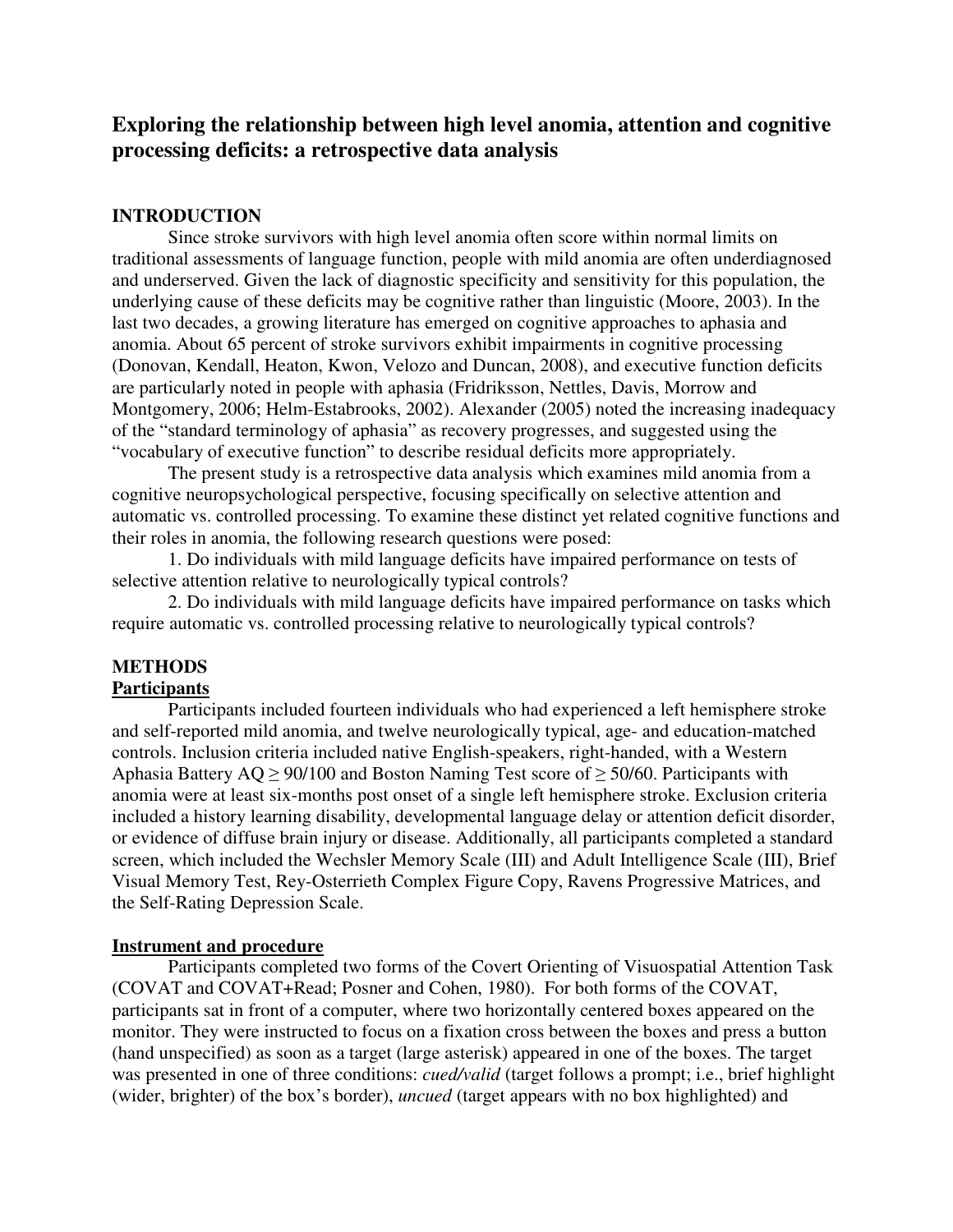# **Exploring the relationship between high level anomia, attention and cognitive processing deficits: a retrospective data analysis**

### **INTRODUCTION**

Since stroke survivors with high level anomia often score within normal limits on traditional assessments of language function, people with mild anomia are often underdiagnosed and underserved. Given the lack of diagnostic specificity and sensitivity for this population, the underlying cause of these deficits may be cognitive rather than linguistic (Moore, 2003). In the last two decades, a growing literature has emerged on cognitive approaches to aphasia and anomia. About 65 percent of stroke survivors exhibit impairments in cognitive processing (Donovan, Kendall, Heaton, Kwon, Velozo and Duncan, 2008), and executive function deficits are particularly noted in people with aphasia (Fridriksson, Nettles, Davis, Morrow and Montgomery, 2006; Helm-Estabrooks, 2002). Alexander (2005) noted the increasing inadequacy of the "standard terminology of aphasia" as recovery progresses, and suggested using the "vocabulary of executive function" to describe residual deficits more appropriately.

The present study is a retrospective data analysis which examines mild anomia from a cognitive neuropsychological perspective, focusing specifically on selective attention and automatic vs. controlled processing. To examine these distinct yet related cognitive functions and their roles in anomia, the following research questions were posed:

1. Do individuals with mild language deficits have impaired performance on tests of selective attention relative to neurologically typical controls?

2. Do individuals with mild language deficits have impaired performance on tasks which require automatic vs. controlled processing relative to neurologically typical controls?

## **METHODS**

### **Participants**

Participants included fourteen individuals who had experienced a left hemisphere stroke and self-reported mild anomia, and twelve neurologically typical, age- and education-matched controls. Inclusion criteria included native English-speakers, right-handed, with a Western Aphasia Battery AQ  $\geq$  90/100 and Boston Naming Test score of  $\geq$  50/60. Participants with anomia were at least six-months post onset of a single left hemisphere stroke. Exclusion criteria included a history learning disability, developmental language delay or attention deficit disorder, or evidence of diffuse brain injury or disease. Additionally, all participants completed a standard screen, which included the Wechsler Memory Scale (III) and Adult Intelligence Scale (III), Brief Visual Memory Test, Rey-Osterrieth Complex Figure Copy, Ravens Progressive Matrices, and the Self-Rating Depression Scale.

#### **Instrument and procedure**

Participants completed two forms of the Covert Orienting of Visuospatial Attention Task (COVAT and COVAT+Read; Posner and Cohen, 1980). For both forms of the COVAT, participants sat in front of a computer, where two horizontally centered boxes appeared on the monitor. They were instructed to focus on a fixation cross between the boxes and press a button (hand unspecified) as soon as a target (large asterisk) appeared in one of the boxes. The target was presented in one of three conditions: *cued/valid* (target follows a prompt; i.e., brief highlight (wider, brighter) of the box's border), *uncued* (target appears with no box highlighted) and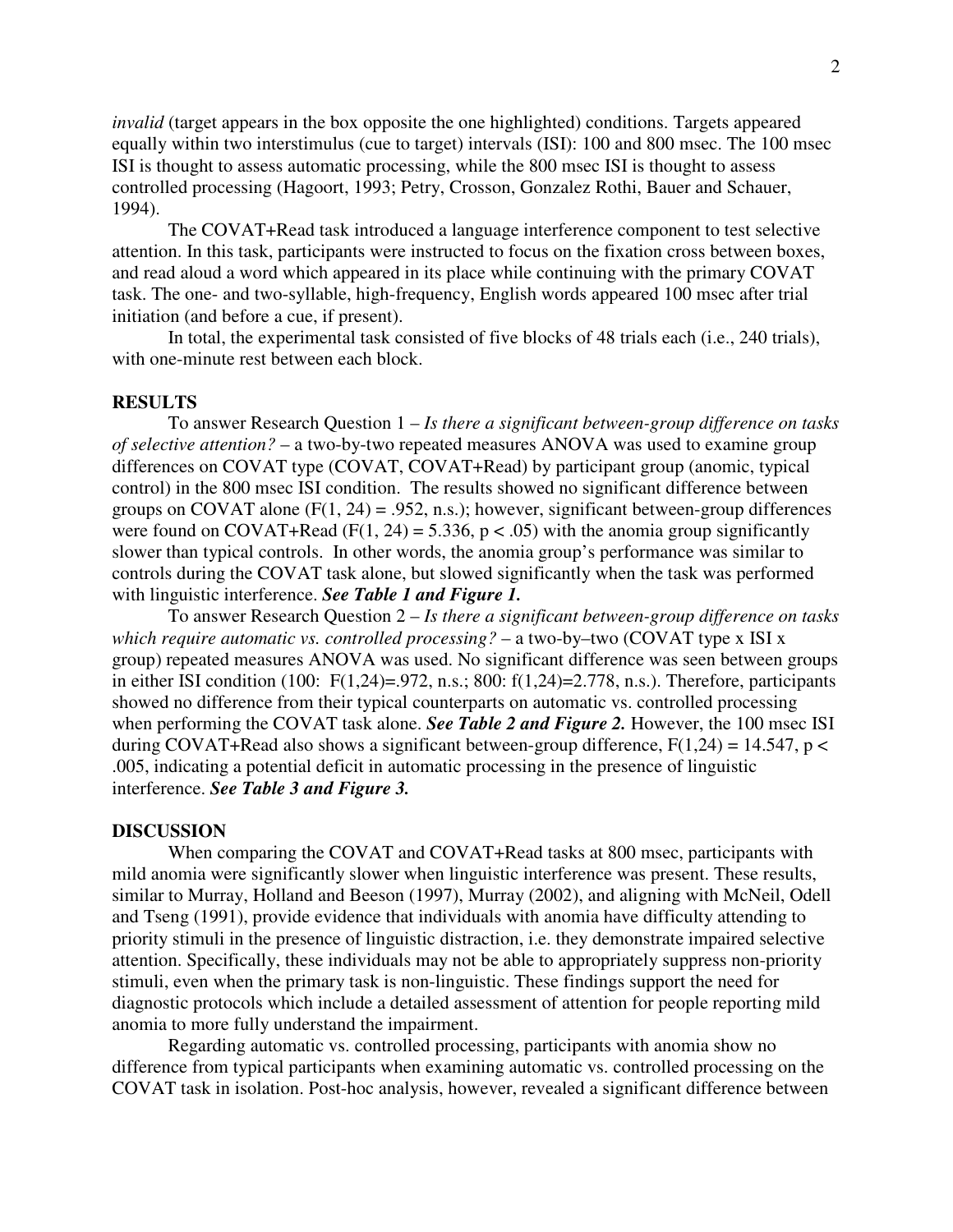*invalid* (target appears in the box opposite the one highlighted) conditions. Targets appeared equally within two interstimulus (cue to target) intervals (ISI): 100 and 800 msec. The 100 msec ISI is thought to assess automatic processing, while the 800 msec ISI is thought to assess controlled processing (Hagoort, 1993; Petry, Crosson, Gonzalez Rothi, Bauer and Schauer, 1994).

The COVAT+Read task introduced a language interference component to test selective attention. In this task, participants were instructed to focus on the fixation cross between boxes, and read aloud a word which appeared in its place while continuing with the primary COVAT task. The one- and two-syllable, high-frequency, English words appeared 100 msec after trial initiation (and before a cue, if present).

In total, the experimental task consisted of five blocks of 48 trials each (i.e., 240 trials), with one-minute rest between each block.

#### **RESULTS**

To answer Research Question 1 – *Is there a significant between-group difference on tasks of selective attention?* – a two-by-two repeated measures ANOVA was used to examine group differences on COVAT type (COVAT, COVAT+Read) by participant group (anomic, typical control) in the 800 msec ISI condition. The results showed no significant difference between groups on COVAT alone  $(F(1, 24) = .952, n.s.)$ ; however, significant between-group differences were found on COVAT+Read (F(1, 24) = 5.336, p < .05) with the anomia group significantly slower than typical controls. In other words, the anomia group's performance was similar to controls during the COVAT task alone, but slowed significantly when the task was performed with linguistic interference. *See Table 1 and Figure 1.* 

To answer Research Question 2 – *Is there a significant between-group difference on tasks which require automatic vs. controlled processing?* – a two-by–two (COVAT type x ISI x group) repeated measures ANOVA was used. No significant difference was seen between groups in either ISI condition (100:  $F(1,24)=972$ , n.s.; 800:  $f(1,24)=2.778$ , n.s.). Therefore, participants showed no difference from their typical counterparts on automatic vs. controlled processing when performing the COVAT task alone. *See Table 2 and Figure 2*. However, the 100 msec ISI during COVAT+Read also shows a significant between-group difference,  $F(1,24) = 14.547$ ,  $p <$ .005, indicating a potential deficit in automatic processing in the presence of linguistic interference. *See Table 3 and Figure 3.* 

#### **DISCUSSION**

When comparing the COVAT and COVAT+Read tasks at 800 msec, participants with mild anomia were significantly slower when linguistic interference was present. These results, similar to Murray, Holland and Beeson (1997), Murray (2002), and aligning with McNeil, Odell and Tseng (1991), provide evidence that individuals with anomia have difficulty attending to priority stimuli in the presence of linguistic distraction, i.e. they demonstrate impaired selective attention. Specifically, these individuals may not be able to appropriately suppress non-priority stimuli, even when the primary task is non-linguistic. These findings support the need for diagnostic protocols which include a detailed assessment of attention for people reporting mild anomia to more fully understand the impairment.

Regarding automatic vs. controlled processing, participants with anomia show no difference from typical participants when examining automatic vs. controlled processing on the COVAT task in isolation. Post-hoc analysis, however, revealed a significant difference between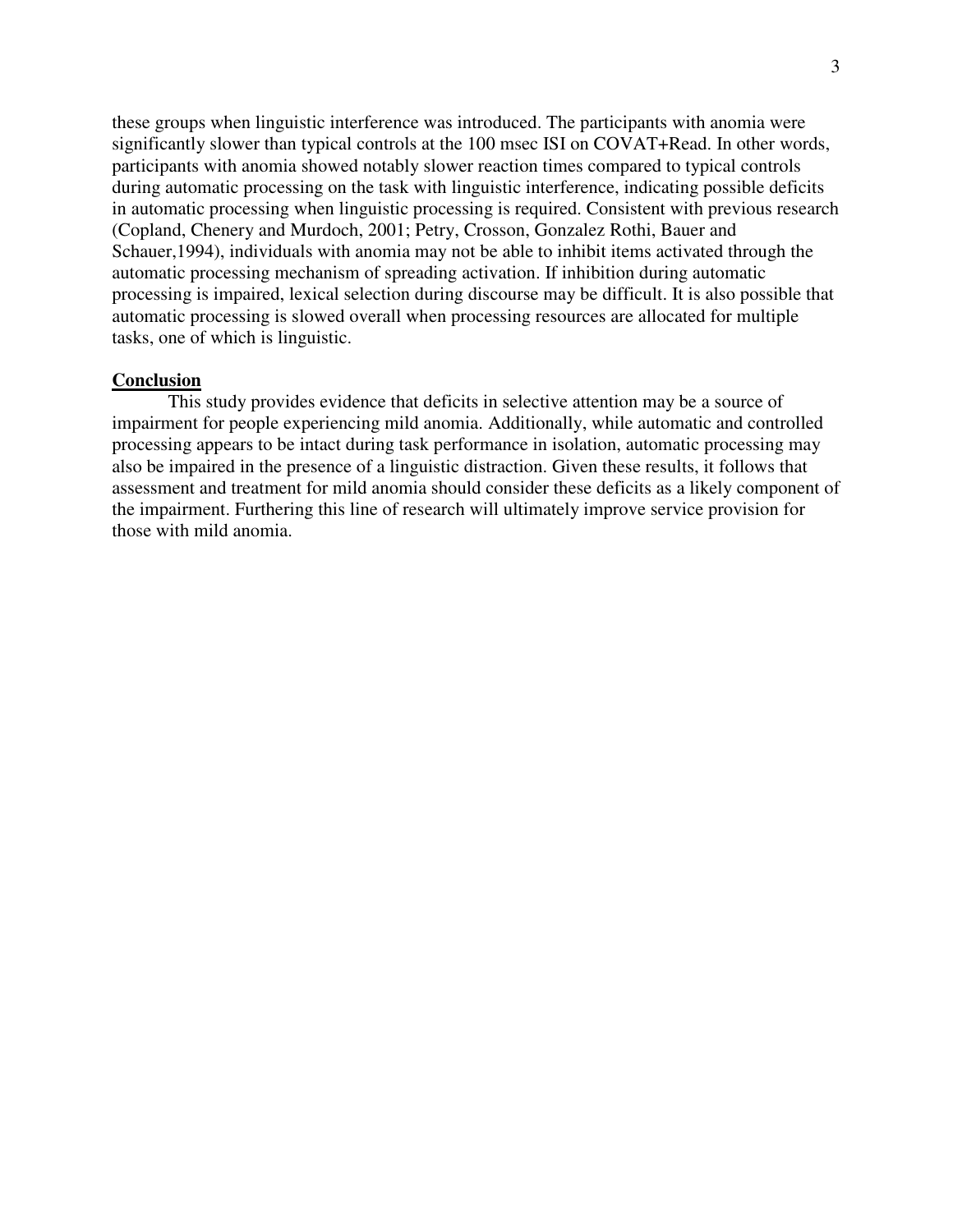these groups when linguistic interference was introduced. The participants with anomia were significantly slower than typical controls at the 100 msec ISI on COVAT+Read. In other words, participants with anomia showed notably slower reaction times compared to typical controls during automatic processing on the task with linguistic interference, indicating possible deficits in automatic processing when linguistic processing is required. Consistent with previous research (Copland, Chenery and Murdoch, 2001; Petry, Crosson, Gonzalez Rothi, Bauer and Schauer,1994), individuals with anomia may not be able to inhibit items activated through the automatic processing mechanism of spreading activation. If inhibition during automatic processing is impaired, lexical selection during discourse may be difficult. It is also possible that automatic processing is slowed overall when processing resources are allocated for multiple tasks, one of which is linguistic.

#### **Conclusion**

 This study provides evidence that deficits in selective attention may be a source of impairment for people experiencing mild anomia. Additionally, while automatic and controlled processing appears to be intact during task performance in isolation, automatic processing may also be impaired in the presence of a linguistic distraction. Given these results, it follows that assessment and treatment for mild anomia should consider these deficits as a likely component of the impairment. Furthering this line of research will ultimately improve service provision for those with mild anomia.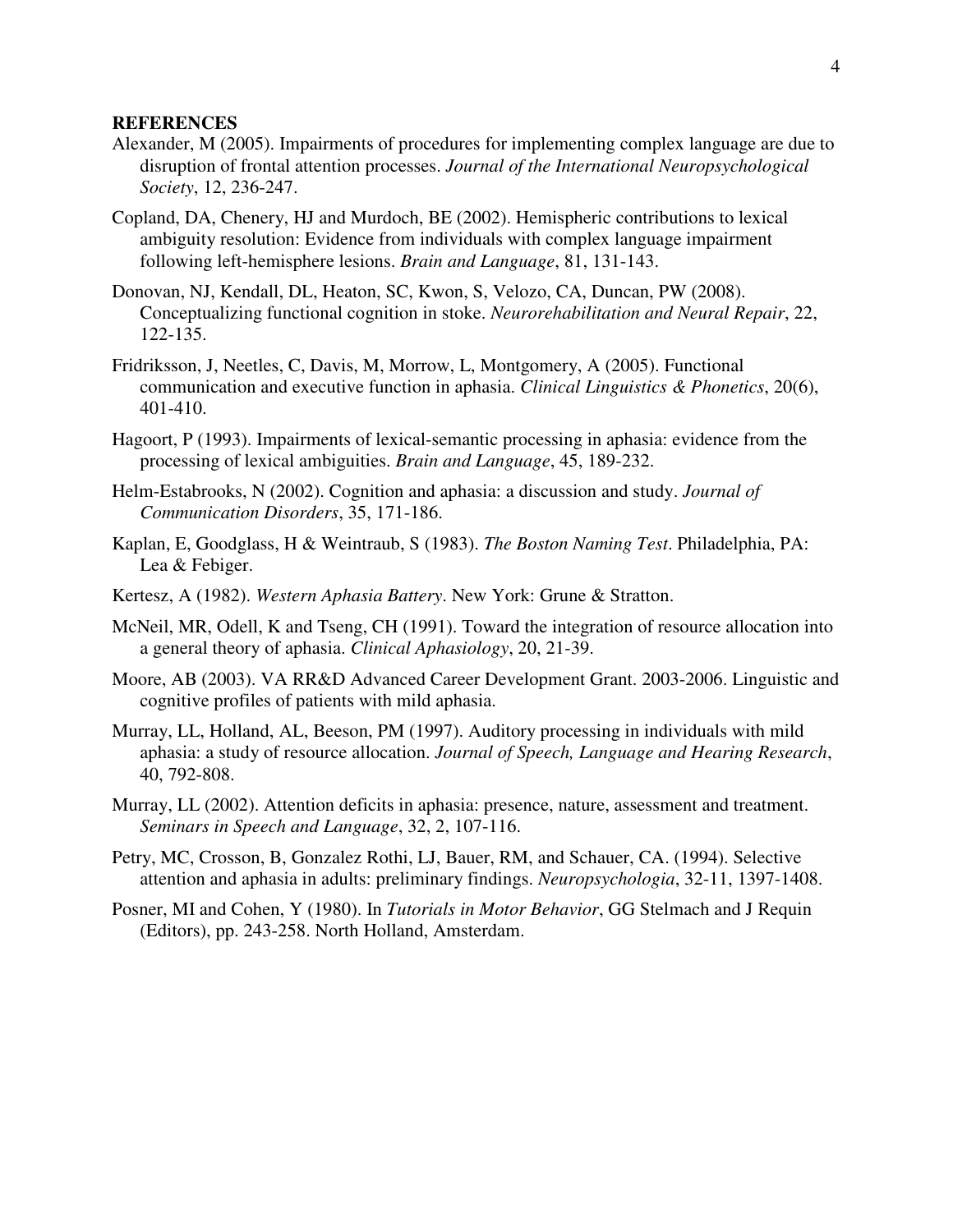#### **REFERENCES**

- Alexander, M (2005). Impairments of procedures for implementing complex language are due to disruption of frontal attention processes. *Journal of the International Neuropsychological Society*, 12, 236-247.
- Copland, DA, Chenery, HJ and Murdoch, BE (2002). Hemispheric contributions to lexical ambiguity resolution: Evidence from individuals with complex language impairment following left-hemisphere lesions. *Brain and Language*, 81, 131-143.
- Donovan, NJ, Kendall, DL, Heaton, SC, Kwon, S, Velozo, CA, Duncan, PW (2008). Conceptualizing functional cognition in stoke. *Neurorehabilitation and Neural Repair*, 22, 122-135.
- Fridriksson, J, Neetles, C, Davis, M, Morrow, L, Montgomery, A (2005). Functional communication and executive function in aphasia. *Clinical Linguistics & Phonetics*, 20(6), 401-410.
- Hagoort, P (1993). Impairments of lexical-semantic processing in aphasia: evidence from the processing of lexical ambiguities. *Brain and Language*, 45, 189-232.
- Helm-Estabrooks, N (2002). Cognition and aphasia: a discussion and study. *Journal of Communication Disorders*, 35, 171-186.
- Kaplan, E, Goodglass, H & Weintraub, S (1983). *The Boston Naming Test*. Philadelphia, PA: Lea & Febiger.
- Kertesz, A (1982). *Western Aphasia Battery*. New York: Grune & Stratton.
- McNeil, MR, Odell, K and Tseng, CH (1991). Toward the integration of resource allocation into a general theory of aphasia. *Clinical Aphasiology*, 20, 21-39.
- Moore, AB (2003). VA RR&D Advanced Career Development Grant. 2003-2006. Linguistic and cognitive profiles of patients with mild aphasia.
- Murray, LL, Holland, AL, Beeson, PM (1997). Auditory processing in individuals with mild aphasia: a study of resource allocation. *Journal of Speech, Language and Hearing Research*, 40, 792-808.
- Murray, LL (2002). Attention deficits in aphasia: presence, nature, assessment and treatment. *Seminars in Speech and Language*, 32, 2, 107-116.
- Petry, MC, Crosson, B, Gonzalez Rothi, LJ, Bauer, RM, and Schauer, CA. (1994). Selective attention and aphasia in adults: preliminary findings. *Neuropsychologia*, 32-11, 1397-1408.
- Posner, MI and Cohen, Y (1980). In *Tutorials in Motor Behavior*, GG Stelmach and J Requin (Editors), pp. 243-258. North Holland, Amsterdam.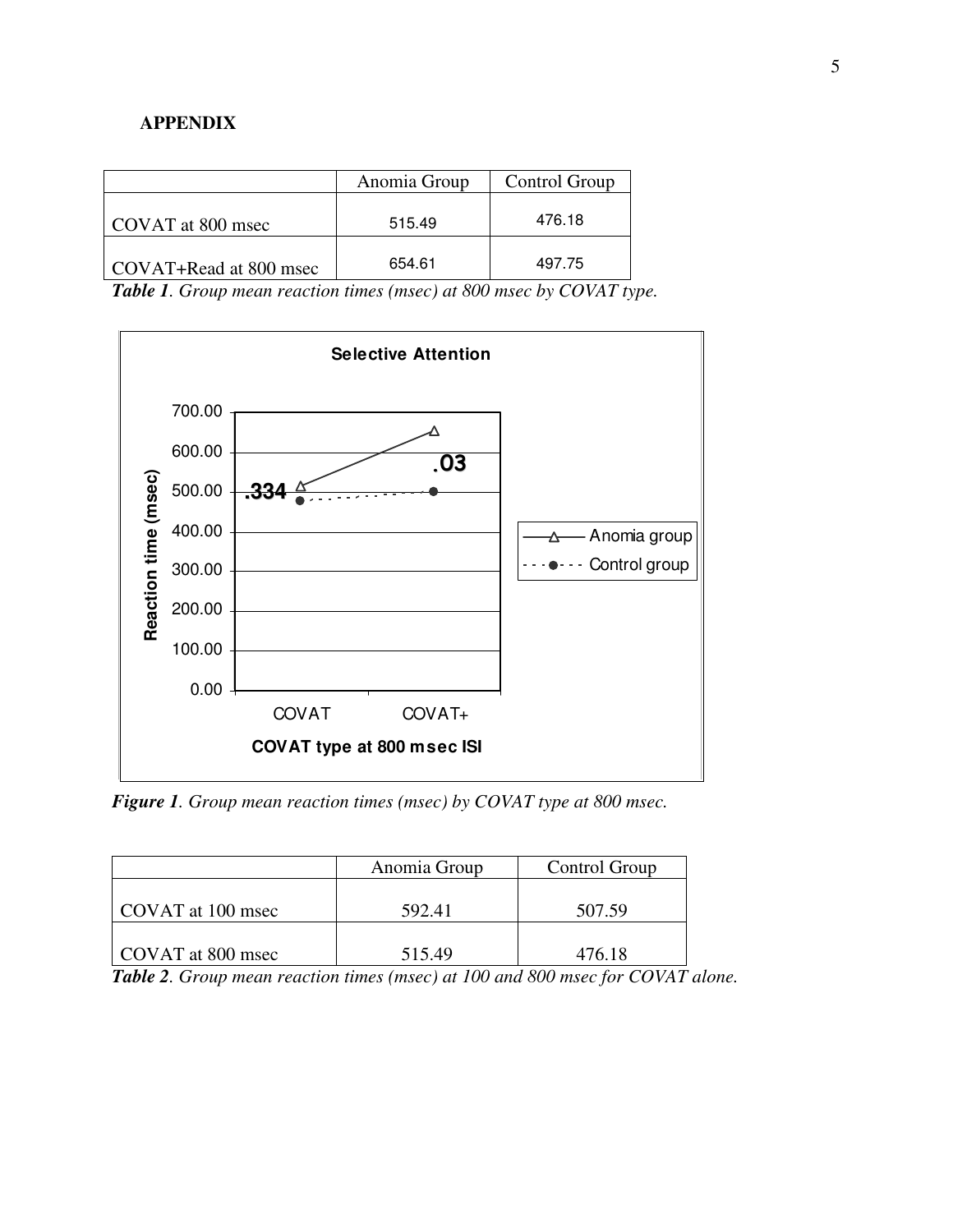## **APPENDIX**

|                        | Anomia Group | Control Group |
|------------------------|--------------|---------------|
| COVAT at 800 msec      | 515.49       | 476.18        |
| COVAT+Read at 800 msec | 654.61       | 497.75        |

*Table 1. Group mean reaction times (msec) at 800 msec by COVAT type.* 



*Figure 1. Group mean reaction times (msec) by COVAT type at 800 msec.* 

|                   | Anomia Group | Control Group |
|-------------------|--------------|---------------|
| COVAT at 100 msec | 592.41       | 507.59        |
| COVAT at 800 msec | 515.49       | 476.18        |

*Table 2. Group mean reaction times (msec) at 100 and 800 msec for COVAT alone.*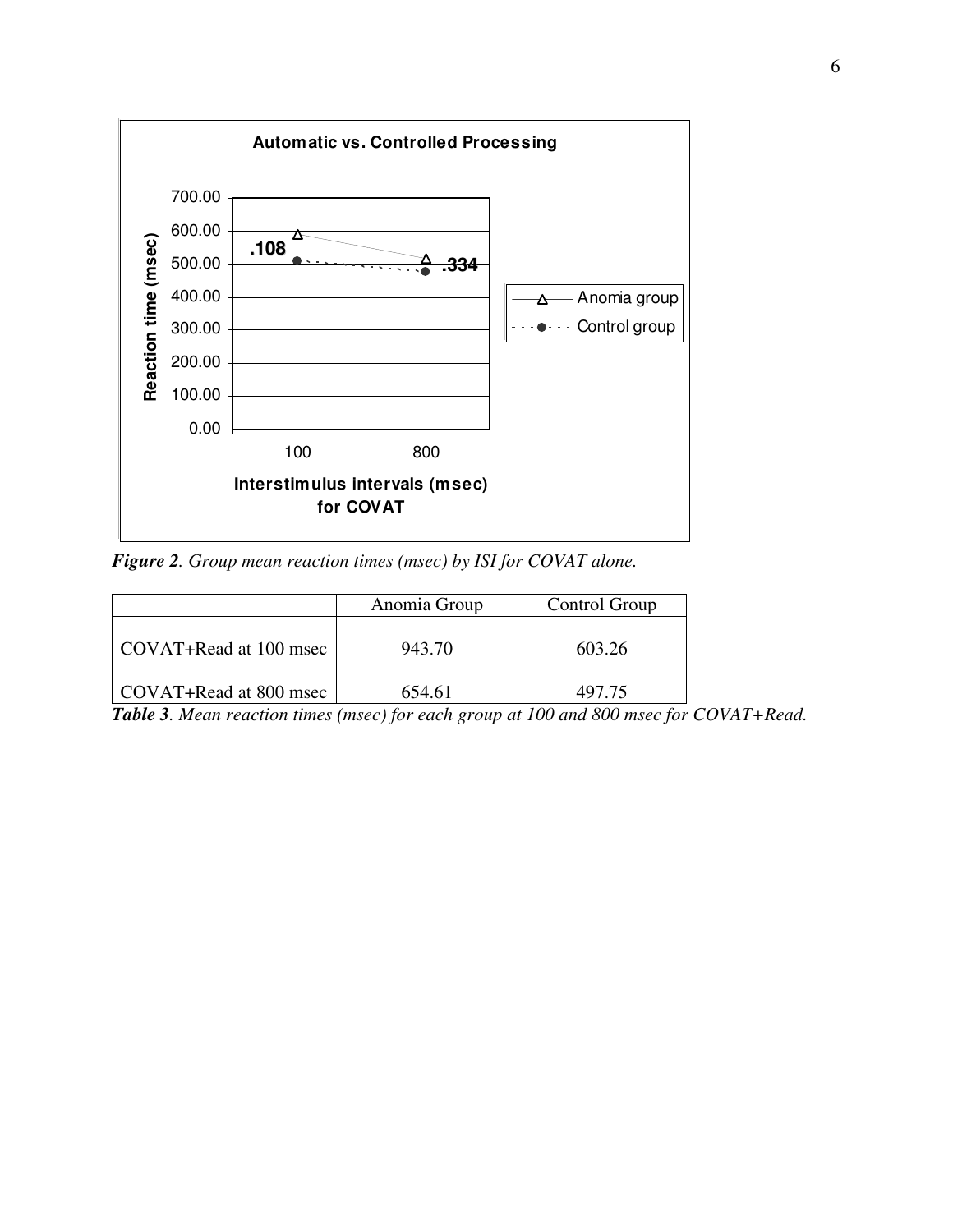

*Figure 2. Group mean reaction times (msec) by ISI for COVAT alone.* 

|                        | Anomia Group | Control Group |
|------------------------|--------------|---------------|
| COVAT+Read at 100 msec | 943.70       | 603.26        |
| COVAT+Read at 800 msec | 654.61       | 497.75        |

*Table 3. Mean reaction times (msec) for each group at 100 and 800 msec for COVAT+Read.*